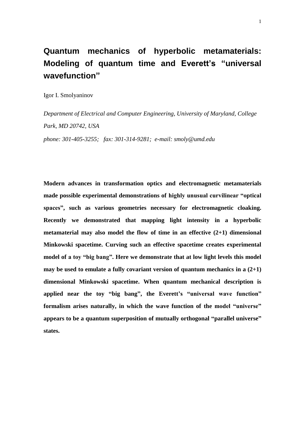# **Quantum mechanics of hyperbolic metamaterials: Modeling of quantum time and Everett's "universal wavefunction"**

Igor I. Smolyaninov

*Department of Electrical and Computer Engineering, University of Maryland, College Park, MD 20742, USA*

*phone: 301-405-3255; fax: 301-314-9281; e-mail: smoly@umd.edu*

**Modern advances in transformation optics and electromagnetic metamaterials made possible experimental demonstrations of highly unusual curvilinear "optical spaces", such as various geometries necessary for electromagnetic cloaking. Recently we demonstrated that mapping light intensity in a hyperbolic metamaterial may also model the flow of time in an effective (2+1) dimensional Minkowski spacetime. Curving such an effective spacetime creates experimental model of a toy "big bang". Here we demonstrate that at low light levels this model may be used to emulate a fully covariant version of quantum mechanics in a (2+1) dimensional Minkowski spacetime. When quantum mechanical description is applied near the toy "big bang", the Everett's "universal wave function" formalism arises naturally, in which the wave function of the model "universe" appears to be a quantum superposition of mutually orthogonal "parallel universe" states.**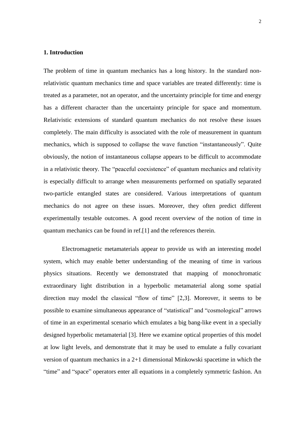# **1. Introduction**

The problem of time in quantum mechanics has a long history. In the standard nonrelativistic quantum mechanics time and space variables are treated differently: time is treated as a parameter, not an operator, and the uncertainty principle for time and energy has a different character than the uncertainty principle for space and momentum. Relativistic extensions of standard quantum mechanics do not resolve these issues completely. The main difficulty is associated with the role of measurement in quantum mechanics, which is supposed to collapse the wave function "instantaneously". Quite obviously, the notion of instantaneous collapse appears to be difficult to accommodate in a relativistic theory. The "peaceful coexistence" of quantum mechanics and relativity is especially difficult to arrange when measurements performed on spatially separated two-particle entangled states are considered. Various interpretations of quantum mechanics do not agree on these issues. Moreover, they often predict different experimentally testable outcomes. A good recent overview of the notion of time in quantum mechanics can be found in ref.[1] and the references therein.

Electromagnetic metamaterials appear to provide us with an interesting model system, which may enable better understanding of the meaning of time in various physics situations. Recently we demonstrated that mapping of monochromatic extraordinary light distribution in a hyperbolic metamaterial along some spatial direction may model the classical "flow of time" [2,3]. Moreover, it seems to be possible to examine simultaneous appearance of "statistical" and "cosmological" arrows of time in an experimental scenario which emulates a big bang-like event in a specially designed hyperbolic metamaterial [3]. Here we examine optical properties of this model at low light levels, and demonstrate that it may be used to emulate a fully covariant version of quantum mechanics in a 2+1 dimensional Minkowski spacetime in which the "time" and "space" operators enter all equations in a completely symmetric fashion. An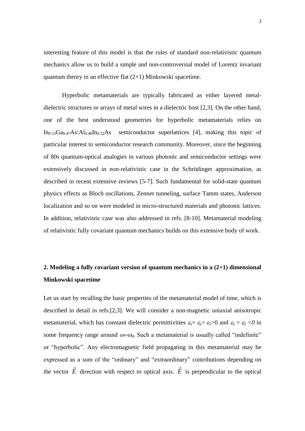interesting feature of this model is that the rules of standard non-relativistic quantum mechanics allow us to build a simple and non-controversial model of Lorentz invariant quantum theory in an effective flat (2+1) Minkowski spacetime.

Hyperbolic metamaterials are typically fabricated as either layered metaldielectric structures or arrays of metal wires in a dielectric host [2,3]. On the other hand, one of the best understood geometries for hyperbolic metamaterials relies on  $In_{0.53}Ga_{0.47}As:Al_{0.48}In_{0.52}As$  semiconductor superlattices [4], making this topic of particular interest to semiconductor research community. Moreover, since the beginning of 80s quantum-optical analogies in various photonic and semiconductor settings were extensively discussed in non-relativistic case in the Schrödinger approximation, as described in recent extensive reviews [5-7]. Such fundamental for solid-state quantum physics effects as Bloch oscillations, Zenner tunneling, surface Tamm states, Anderson localization and so on were modeled in micro-structured materials and photonic lattices. In addition, relativistic case was also addressed in refs. [8-10]. Metamaterial modeling of relativistic fully covariant quantum mechanics builds on this extensive body of work.

# **2. Modeling a fully covariant version of quantum mechanics in a (2+1) dimensional Minkowski spacetime**

Let us start by recalling the basic properties of the metamaterial model of time, which is described in detail in refs.[2,3]. We will consider a non-magnetic uniaxial anisotropic metamaterial, which has constant dielectric permittivities  $\varepsilon_x = \varepsilon_y = \varepsilon_1 > 0$  and  $\varepsilon_z = \varepsilon_2 < 0$  in some frequency range around  $\omega = \omega_0$ . Such a metamaterial is usually called "indefinite" or "hyperbolic". Any electromagnetic field propagating in this metamaterial may be expressed as a sum of the "ordinary" and "extraordinary" contributions depending on the vector *E*  $\rightarrow$ direction with respect to optical axis. *E*  $\rightarrow$ is perpendicular to the optical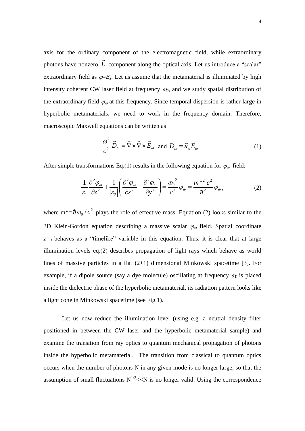axis for the ordinary component of the electromagnetic field, while extraordinary photons have nonzero *E*  $\overline{\phantom{a}}$ component along the optical axis. Let us introduce a "scalar" extraordinary field as  $\varphi = E_z$ . Let us assume that the metamaterial is illuminated by high intensity coherent CW laser field at frequency  $\omega_0$ , and we study spatial distribution of the extraordinary field  $\varphi_{\omega}$  at this frequency. Since temporal dispersion is rather large in hyperbolic metamaterials, we need to work in the frequency domain. Therefore, macroscopic Maxwell equations can be written as

$$
\frac{\omega^2}{c^2} \vec{D}_{\omega} = \vec{\nabla} \times \vec{\nabla} \times \vec{E}_{\omega} \text{ and } \vec{D}_{\omega} = \vec{\varepsilon}_{\omega} \vec{E}_{\omega}
$$
 (1)

After simple transformations Eq.(1) results in the following equation for  $\varphi_{\omega}$  field:

$$
-\frac{1}{\varepsilon_1} \frac{\partial^2 \varphi_{\omega}}{\partial z^2} + \frac{1}{|\varepsilon_2|} \left( \frac{\partial^2 \varphi_{\omega}}{\partial x^2} + \frac{\partial^2 \varphi_{\omega}}{\partial y^2} \right) = \frac{{\omega_0}^2}{c^2} \varphi_{\omega} = \frac{m^{*2} c^2}{\hbar^2} \varphi_{\omega},
$$
 (2)

where  $m^* = \hbar \omega_0 / c^2$  $\hbar \omega_0/c^2$  plays the role of effective mass. Equation (2) looks similar to the 3D Klein-Gordon equation describing a massive scalar  $\varphi_{\omega}$  field. Spatial coordinate  $z = \tau$  behaves as a "timelike" variable in this equation. Thus, it is clear that at large illumination levels eq.(2) describes propagation of light rays which behave as world lines of massive particles in a flat (2+1) dimensional Minkowski spacetime [3]. For example, if a dipole source (say a dye molecule) oscillating at frequency  $\omega_0$  is placed inside the dielectric phase of the hyperbolic metamaterial, its radiation pattern looks like a light cone in Minkowski spacetime (see Fig.1).

Let us now reduce the illumination level (using e.g. a neutral density filter positioned in between the CW laser and the hyperbolic metamaterial sample) and examine the transition from ray optics to quantum mechanical propagation of photons inside the hyperbolic metamaterial. The transition from classical to quantum optics occurs when the number of photons N in any given mode is no longer large, so that the assumption of small fluctuations  $N^{1/2} \ll N$  is no longer valid. Using the correspondence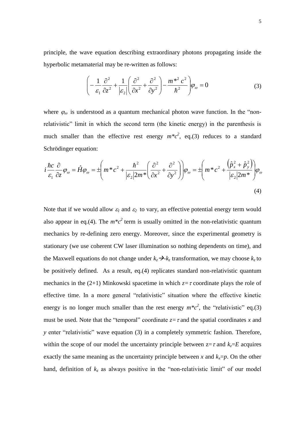principle, the wave equation describing extraordinary photons propagating inside the hyperbolic metamaterial may be re-written as follows:

$$
\left(-\frac{1}{\varepsilon_1}\frac{\partial^2}{\partial z^2} + \frac{1}{|\varepsilon_2|} \left(\frac{\partial^2}{\partial x^2} + \frac{\partial^2}{\partial y^2}\right) - \frac{m^{*2} c^2}{\hbar^2}\right)\varphi_\omega = 0\tag{3}
$$

where  $\varphi_{\omega}$  is understood as a quantum mechanical photon wave function. In the "nonrelativistic" limit in which the second term (the kinetic energy) in the parenthesis is much smaller than the effective rest energy  $m^*c^2$ , eq.(3) reduces to a standard Schrödinger equation:

$$
i\frac{\hbar c}{\varepsilon_1} \frac{\partial}{\partial z} \varphi_{\omega} = \hat{H} \varphi_{\omega} = \pm \left( m^* c^2 + \frac{\hbar^2}{|\varepsilon_2| 2m^*} \left( \frac{\partial^2}{\partial x^2} + \frac{\partial^2}{\partial y^2} \right) \right) \varphi_{\omega} = \pm \left( m^* c^2 + \frac{\left( \hat{p}_x^2 + \hat{p}_y^2 \right)}{|\varepsilon_2| 2m^*} \right) \varphi_{\omega}
$$
\n(4)

Note that if we would allow  $\varepsilon_1$  and  $\varepsilon_2$  to vary, an effective potential energy term would also appear in eq.(4). The  $m \nmid c^2$  term is usually omitted in the non-relativistic quantum mechanics by re-defining zero energy. Moreover, since the experimental geometry is stationary (we use coherent CW laser illumination so nothing dependents on time), and the Maxwell equations do not change under  $k_z \rightarrow k_z$  transformation, we may choose  $k_z$  to be positively defined. As a result, eq.(4) replicates standard non-relativistic quantum mechanics in the (2+1) Minkowski spacetime in which  $z = \tau$  coordinate plays the role of effective time. In a more general "relativistic" situation where the effective kinetic energy is no longer much smaller than the rest energy  $m * c^2$ , the "relativistic" eq.(3) must be used. Note that the "temporal" coordinate  $z = \tau$  and the spatial coordinates x and *y* enter "relativistic" wave equation (3) in a completely symmetric fashion. Therefore, within the scope of our model the uncertainty principle between  $z = \tau$  and  $k_z = E$  acquires exactly the same meaning as the uncertainty principle between *x* and  $k_x = p$ . On the other hand, definition of  $k_z$  as always positive in the "non-relativistic limit" of our model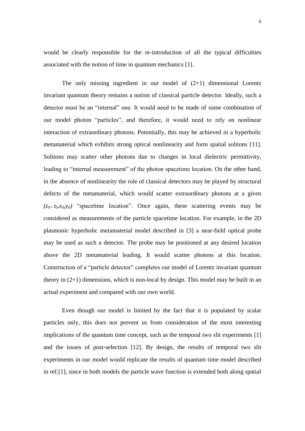would be clearly responsible for the re-introduction of all the typical difficulties associated with the notion of time in quantum mechanics [1].

The only missing ingredient in our model of  $(2+1)$  dimensional Lorentz invariant quantum theory remains a notion of classical particle detector. Ideally, such a detector must be an "internal" one. It would need to be made of some combination of our model photon "particles", and therefore, it would need to rely on nonlinear interaction of extraordinary photons. Potentially, this may be achieved in a hyperbolic metamaterial which exhibits strong optical nonlinearity and form spatial solitons [11]. Solitons may scatter other photons due to changes in local dielectric permittivity, leading to "internal measurement" of the photon spacetime location. On the other hand, in the absence of nonlinearity the role of classical detectors may be played by structural defects of the metamaterial, which would scatter extraordinary photons at a given  $(z_{0} = \tau_0, x_0, y_0)$  "spacetime location". Once again, these scattering events may be considered as measurements of the particle spacetime location. For example, in the 2D plasmonic hyperbolic metamaterial model described in [3] a near-field optical probe may be used as such a detector. The probe may be positioned at any desired location above the 2D metamaterial leading. It would scatter photons at this location. Construction of a "particle detector" completes our model of Lorentz invariant quantum theory in  $(2+1)$  dimensions, which is non-local by design. This model may be built in an actual experiment and compared with our own world.

Even though our model is limited by the fact that it is populated by scalar particles only, this does not prevent us from consideration of the most interesting implications of the quantum time concept, such as the temporal two slit experiments [1] and the issues of post-selection [12]. By design, the results of temporal two slit experiments in our model would replicate the results of quantum time model described in ref.[1], since in both models the particle wave function is extended both along spatial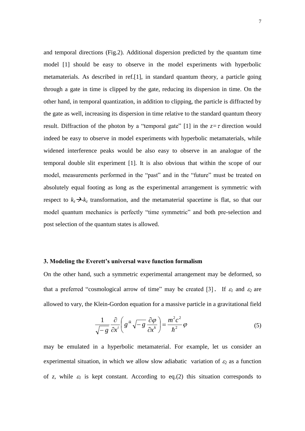and temporal directions (Fig.2). Additional dispersion predicted by the quantum time model [1] should be easy to observe in the model experiments with hyperbolic metamaterials. As described in ref.[1], in standard quantum theory, a particle going through a gate in time is clipped by the gate, reducing its dispersion in time. On the other hand, in temporal quantization, in addition to clipping, the particle is diffracted by the gate as well, increasing its dispersion in time relative to the standard quantum theory result. Diffraction of the photon by a "temporal gate" [1] in the  $z = \tau$  direction would indeed be easy to observe in model experiments with hyperbolic metamaterials, while widened interference peaks would be also easy to observe in an analogue of the temporal double slit experiment [1]. It is also obvious that within the scope of our model, measurements performed in the "past" and in the "future" must be treated on absolutely equal footing as long as the experimental arrangement is symmetric with respect to  $k_z \rightarrow k_z$  transformation, and the metamaterial spacetime is flat, so that our model quantum mechanics is perfectly "time symmetric" and both pre-selection and post selection of the quantum states is allowed.

#### **3. Modeling the Everett's universal wave function formalism**

On the other hand, such a symmetric experimental arrangement may be deformed, so that a preferred "cosmological arrow of time" may be created [3]. If  $\varepsilon_1$  and  $\varepsilon_2$  are allowed to vary, the Klein-Gordon equation for a massive particle in a gravitational field

$$
\frac{1}{\sqrt{-g}}\frac{\partial}{\partial x^i}\left(g^{ik}\sqrt{-g}\frac{\partial\varphi}{\partial x^k}\right) = \frac{m^2c^2}{\hbar^2}\varphi\tag{5}
$$

may be emulated in a hyperbolic metamaterial. For example, let us consider an experimental situation, in which we allow slow adiabatic variation of  $\varepsilon_2$  as a function of *z*, while  $\varepsilon_1$  is kept constant. According to eq.(2) this situation corresponds to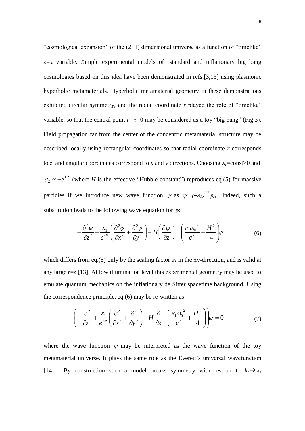"cosmological expansion" of the  $(2+1)$  dimensional universe as a function of "timelike"  $z = \tau$  variable. Simple experimental models of standard and inflationary big bang cosmologies based on this idea have been demonstrated in refs.[3,13] using plasmonic hyperbolic metamaterials. Hyperbolic metamaterial geometry in these demonstrations exhibited circular symmetry, and the radial coordinate *r* played the role of "timelike" variable, so that the central point  $r = \tau = 0$  may be considered as a toy "big bang" (Fig.3). Field propagation far from the center of the concentric metamaterial structure may be described locally using rectangular coordinates so that radial coordinate *r* corresponds to *z*, and angular coordinates correspond to *x* and *y* directions. Choosing  $\varepsilon_1$ =const>0 and  $\varepsilon_2 \sim -e^{Hz}$  (where *H* is the effective "Hubble constant") reproduces eq.(5) for massive particles if we introduce new wave function  $\psi$  as  $\psi = (-\varepsilon_2)^{1/2} \varphi_{\omega}$ . Indeed, such a substitution leads to the following wave equation for  $\psi$ .

$$
-\frac{\partial^2 \psi}{\partial z^2} + \frac{\varepsilon_1}{e^{Hz}} \left( \frac{\partial^2 \psi}{\partial x^2} + \frac{\partial^2 \psi}{\partial y^2} \right) - H \left( \frac{\partial \psi}{\partial z} \right) = \left( \frac{\varepsilon_1 \omega_0^2}{c^2} + \frac{H^2}{4} \right) \psi \tag{6}
$$

which differs from eq.(5) only by the scaling factor  $\varepsilon_1$  in the xy-direction, and is valid at any large  $r = z$  [13]. At low illumination level this experimental geometry may be used to emulate quantum mechanics on the inflationary de Sitter spacetime background. Using the correspondence principle, eq.(6) may be re-written as

$$
\left(-\frac{\partial^2}{\partial z^2} + \frac{\varepsilon_1}{e^{Hz}} \left(\frac{\partial^2}{\partial x^2} + \frac{\partial^2}{\partial y^2}\right) - H \frac{\partial}{\partial z} - \left(\frac{\varepsilon_1 \omega_0^2}{c^2} + \frac{H^2}{4}\right)\right) \psi = 0
$$
\n(7)

where the wave function  $\psi$  may be interpreted as the wave function of the toy metamaterial universe. It plays the same role as the Everett's universal wavefunction [14]. By construction such a model breaks symmetry with respect to  $k_z \rightarrow k_z$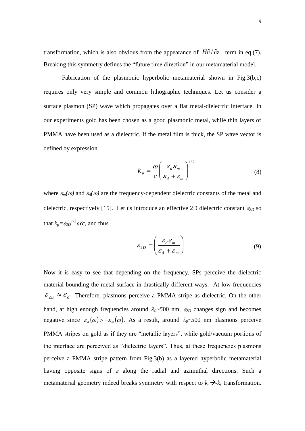transformation, which is also obvious from the appearance of  $H\partial/\partial z$  term in eq.(7). Breaking this symmetry defines the "future time direction" in our metamaterial model.

Fabrication of the plasmonic hyperbolic metamaterial shown in Fig.3(b,c) requires only very simple and common lithographic techniques. Let us consider a surface plasmon (SP) wave which propagates over a flat metal-dielectric interface. In our experiments gold has been chosen as a good plasmonic metal, while thin layers of PMMA have been used as a dielectric. If the metal film is thick, the SP wave vector is defined by expression

$$
k_p = \frac{\omega}{c} \left( \frac{\varepsilon_d \varepsilon_m}{\varepsilon_d + \varepsilon_m} \right)^{1/2} \tag{8}
$$

where  $\varepsilon_m(\omega)$  and  $\varepsilon_d(\omega)$  are the frequency-dependent dielectric constants of the metal and dielectric, respectively [15]. Let us introduce an effective 2D dielectric constant  $\varepsilon_{2D}$  so that  $k_p = \varepsilon_{2D}^{1/2} \omega/c$ , and thus

$$
\varepsilon_{2D} = \left(\frac{\varepsilon_d \varepsilon_m}{\varepsilon_d + \varepsilon_m}\right) \tag{9}
$$

Now it is easy to see that depending on the frequency, SPs perceive the dielectric material bounding the metal surface in drastically different ways. At low frequencies  $\mathcal{E}_{2D} \approx \mathcal{E}_d$ . Therefore, plasmons perceive a PMMA stripe as dielectric. On the other hand, at high enough frequencies around  $\lambda_0 \sim 500$  nm,  $\varepsilon_{2D}$  changes sign and becomes negative since  $\varepsilon_a(\omega) > -\varepsilon_m(\omega)$ . As a result, around  $\lambda_0 \sim 500$  nm plasmons perceive PMMA stripes on gold as if they are "metallic layers", while gold/vacuum portions of the interface are perceived as "dielectric layers". Thus, at these frequencies plasmons perceive a PMMA stripe pattern from Fig.3(b) as a layered hyperbolic metamaterial having opposite signs of  $\varepsilon$  along the radial and azimuthal directions. Such a metamaterial geometry indeed breaks symmetry with respect to  $k_r \rightarrow k_r$  transformation.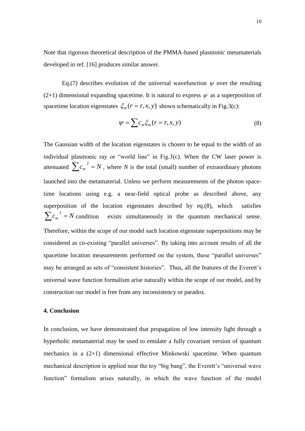Note that rigorous theoretical description of the PMMA-based plasmonic metamaterials developed in ref. [16] produces similar answer.

Eq.(7) describes evolution of the universal wavefunction  $\psi$  over the resulting (2+1) dimensional expanding spacetime. It is natural to express  $\psi$  as a superposition of spacetime location eigenstates  $\xi_m$  ( $r = \tau, x, y$ ) shown schematically in Fig.3(c):

$$
\psi = \sum c_m \xi_m (r = \tau, x, y) \tag{8}
$$

The Gaussian width of the location eigenstates is chosen to be equal to the width of an individual plasmonic ray or "world line" in Fig.3(c). When the CW laser power is attenuated  $\sum_{m} c_m^2 = N$ , where *N* is the total (small) number of extraordinary photons launched into the metamaterial. Unless we perform measurements of the photon spacetime locations using e.g. a near-field optical probe as described above, any superposition of the location eigenstates described by eq.(8), which satisfies  $\sum c_m^2 = N$ exists simultaneously in the quantum mechanical sense. Therefore, within the scope of our model such location eigenstate superpositions may be considered as co-existing "parallel universes". By taking into account results of all the spacetime location measurements performed on the system, these "parallel universes" may be arranged as sets of "consistent histories". Thus, all the features of the Everett's universal wave function formalism arise naturally within the scope of our model, and by construction our model is free from any inconsistency or paradox.

# **4. Conclusion**

In conclusion, we have demonstrated that propagation of low intensity light through a hyperbolic metamaterial may be used to emulate a fully covariant version of quantum mechanics in a (2+1) dimensional effective Minkowski spacetime. When quantum mechanical description is applied near the toy "big bang", the Everett's "universal wave function" formalism arises naturally, in which the wave function of the model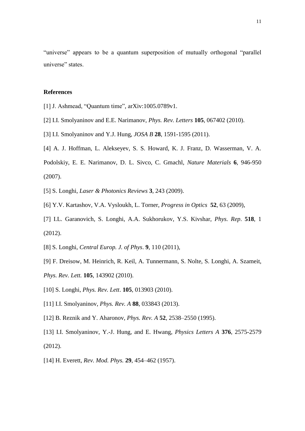"universe" appears to be a quantum superposition of mutually orthogonal "parallel universe" states.

# **References**

- [1] J. Ashmead, "Quantum time", arXiv:1005.0789v1.
- [2] I.I. Smolyaninov and E.E. Narimanov, *Phys. Rev. Letters* **105**, 067402 (2010).
- [3] I.I. Smolyaninov and Y.J. Hung, *JOSA B* **28**, 1591-1595 (2011).
- [4] A. J. Hoffman, L. Alekseyev, S. S. Howard, K. J. Franz, D. Wasserman, V. A.

Podolskiy, E. E. Narimanov, D. L. Sivco, C. Gmachl, *Nature Materials* **6**, 946-950 (2007).

- [5] S. Longhi, *Laser & Photonics Reviews* **3**, 243 (2009).
- [6] Y.V. Kartashov, V.A. Vysloukh, L. Torner, *Progress in Optics* **52**, 63 (2009),
- [7] I.L. Garanovich, S. Longhi, A.A. Sukhorukov, Y.S. Kivshar, *Phys. Rep*. **518**, 1 (2012).
- [8] S. Longhi, *Central Europ. J. of Phys*. **9**, 110 (2011),
- [9] F. Dreisow, M. Heinrich, R. Keil, A. Tunnermann, S. Nolte, S. Longhi, A. Szameit, *Phys. Rev. Lett.* **105**, 143902 (2010).
- [10] S. Longhi, *Phys. Rev. Lett*. **105**, 013903 (2010).
- [11] I.I. Smolyaninov, *Phys. Rev. A* **88**, 033843 (2013).
- [12] B. Reznik and Y. Aharonov, *Phys. Rev. A* **52**, 2538–2550 (1995).
- [13] I.I. Smolyaninov, Y.-J. Hung, and E. Hwang, *Physics Letters A* **376**, 2575-2579 (2012).
- [14] H. Everett, *Rev. Mod. Phys.* **29**, 454–462 (1957).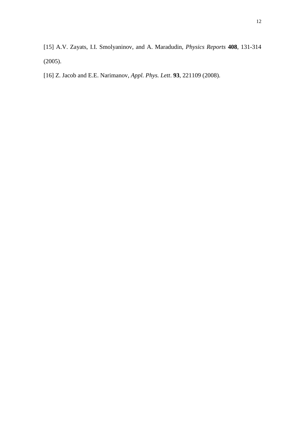- [15] A.V. Zayats, I.I. Smolyaninov, and A. Maradudin, *Physics Reports* **408**, 131-314 (2005).
- [16] Z. Jacob and E.E. Narimanov, *Appl. Phys. Lett*. **93**, 221109 (2008).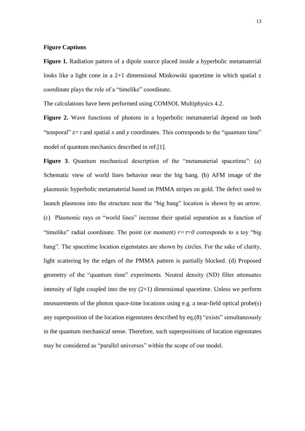# **Figure Captions**

**Figure 1.** Radiation pattern of a dipole source placed inside a hyperbolic metamaterial looks like a light cone in a 2+1 dimensional Minkowski spacetime in which spatial z coordinate plays the role of a "timelike" coordinate.

The calculations have been performed using COMSOL Multiphysics 4.2.

**Figure 2.** Wave functions of photons in a hyperbolic metamaterial depend on both "temporal"  $z = \tau$  and spatial x and y coordinates. This corresponds to the "quantum time" model of quantum mechanics described in ref.[1].

**Figure 3.** Quantum mechanical description of the "metamaterial spacetime": (a) Schematic view of world lines behavior near the big bang. (b) AFM image of the plasmonic hyperbolic metamaterial based on PMMA stripes on gold. The defect used to launch plasmons into the structure near the "big bang" location is shown by an arrow. (c) Plasmonic rays or "world lines" increase their spatial separation as a function of "timelike" radial coordinate. The point (or moment)  $r = \tau = 0$  corresponds to a toy "big" bang". The spacetime location eigenstates are shown by circles. For the sake of clarity, light scattering by the edges of the PMMA pattern is partially blocked. (d) Proposed geometry of the "quantum time" experiments. Neutral density (ND) filter attenuates intensity of light coupled into the toy  $(2+1)$  dimensional spacetime. Unless we perform measurements of the photon space-time locations using e.g. a near-field optical probe(s) any superposition of the location eigenstates described by eq.(8) "exists" simultaneously in the quantum mechanical sense. Therefore, such superpositions of location eigenstates may be considered as "parallel universes" within the scope of our model.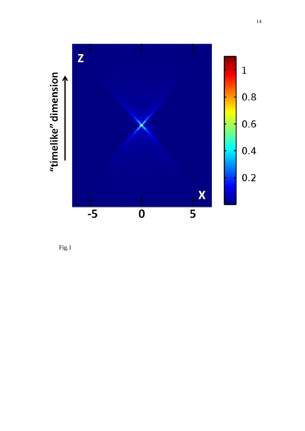

Fig.1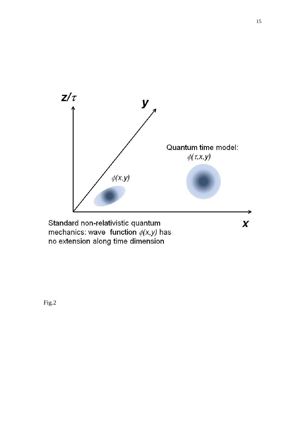

Standard non-relativistic quantum mechanics: wave function  $\phi(x,y)$  has no extension along time dimension

Fig.2